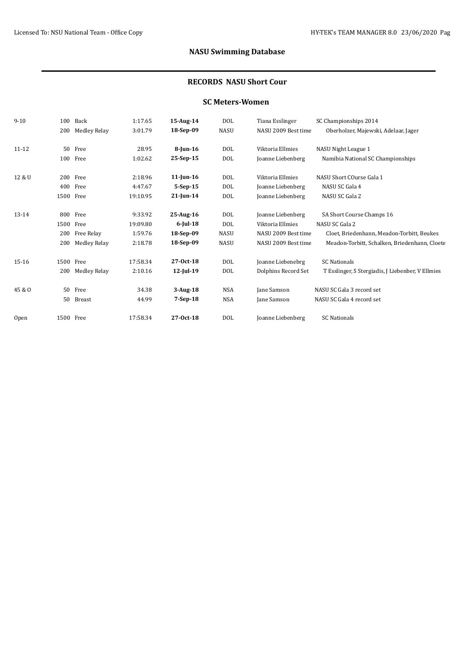# **NASU Swimming Database**

#### **RECORDS NASU Short Cour**

### **SC Meters-Women**

| $9 - 10$  | 100       | Back                | 1:17.65  | 15-Aug-14       | <b>DOL</b>  | Tiana Esslinger     | SC Championships 2014                             |
|-----------|-----------|---------------------|----------|-----------------|-------------|---------------------|---------------------------------------------------|
|           | 200       | <b>Medley Relay</b> | 3:01.79  | 18-Sep-09       | <b>NASU</b> | NASU 2009 Best time | Oberholzer, Majewski, Adelaar, Jager              |
| $11 - 12$ | 50        | Free                | 28.95    | $8$ -Jun-16     | <b>DOL</b>  | Viktoria Ellmies    | NASU Night League 1                               |
|           |           | 100 Free            | 1:02.62  | 25-Sep-15       | DOL         | Joanne Liebenberg   | Namibia National SC Championships                 |
| 12 & U    | 200       | Free                | 2:18.96  | $11$ -Jun- $16$ | DOL         | Viktoria Ellmies    | NASU Short COurse Gala 1                          |
|           | 400       | Free                | 4:47.67  | $5-Sep-15$      | DOL         | Joanne Liebenberg   | NASU SC Gala 4                                    |
|           | 1500      | Free                | 19:10.95 | $21$ -Jun-14    | DOL         | Joanne Liebenberg   | NASU SC Gala 2                                    |
| 13-14     |           | 800 Free            | 9:33.92  | 25-Aug-16       | DOL         | Joanne Liebenberg   | SA Short Course Champs 16                         |
|           | 1500 Free |                     | 19:09.80 | $6$ -Jul-18     | <b>DOL</b>  | Viktoria Ellmies    | NASU SC Gala 2                                    |
|           | 200       | Free Relay          | 1:59.76  | 18-Sep-09       | <b>NASU</b> | NASU 2009 Best time | Cloet, Briedenhann, Meadon-Torbitt, Beukes        |
|           | 200       | <b>Medley Relay</b> | 2:18.78  | 18-Sep-09       | <b>NASU</b> | NASU 2009 Best time | Meadon-Torbitt, Schalken, Briedenhann, Cloete     |
| 15-16     | 1500      | Free                | 17:58.34 | 27-0ct-18       | DOL         | Joanne Liebenebrg   | <b>SC Nationals</b>                               |
|           | 200       | Medley Relay        | 2:10.16  | $12$ -Jul-19    | <b>DOL</b>  | Dolphins Record Set | T Esslinger, S Stergiadis, J Liebenber, V Ellmies |
| 45 & O    | 50        | Free                | 34.38    | $3$ -Aug-18     | <b>NSA</b>  | Jane Samson         | NASU SC Gala 3 record set                         |
|           | 50        | <b>Breast</b>       | 44.99    | $7-Sep-18$      | NSA         | <b>Jane Samson</b>  | NASU SC Gala 4 record set                         |
| Open      | 1500      | Free                | 17:58.34 | 27-0ct-18       | <b>DOL</b>  | Joanne Liebenberg   | <b>SC Nationals</b>                               |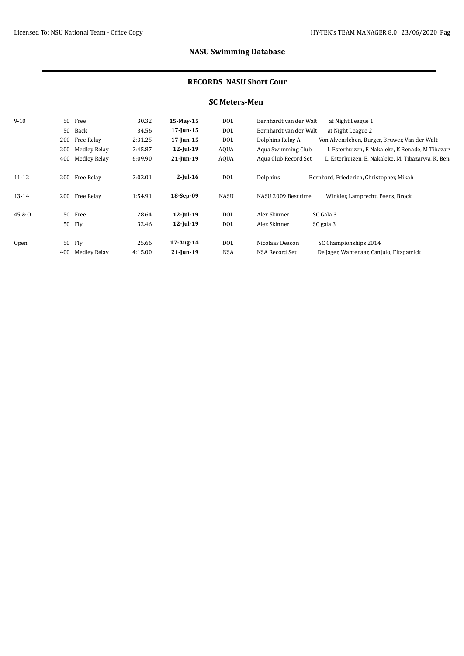# **NASU Swimming Database**

### **RECORDS NASU Short Cour**

### **SC Meters-Men**

| $9 - 10$  |     | 50 Free      | 30.32   | 15-May-15       | DOL         | Bernhardt van der Walt | at Night League 1                                 |
|-----------|-----|--------------|---------|-----------------|-------------|------------------------|---------------------------------------------------|
|           |     | 50 Back      | 34.56   | $17$ -Jun-15    | DOL         | Bernhardt van der Walt | at Night League 2                                 |
|           | 200 | Free Relay   | 2:31.25 | $17$ -Jun- $15$ | DOL         | Dolphins Relay A       | Von Alvensleben, Burger, Bruwer, Van der Walt     |
|           | 200 | Medley Relay | 2:45.87 | $12$ -Jul-19    | AQUA        | Aqua Swimming Club     | L Esterhuizen, E Nakaleke, K Benade, M Tibazary   |
|           | 400 | Medley Relay | 6:09.90 | $21$ -Jun-19    | AQUA        | Aqua Club Record Set   | L. Esterhuizen, E. Nakaleke, M. Tibazarwa, K. Ben |
| $11 - 12$ | 200 | Free Relay   | 2:02.01 | $2$ -Jul-16     | DOL         | Dolphins               | Bernhard, Friederich, Christopher, Mikah          |
| $13-14$   | 200 | Free Relay   | 1:54.91 | 18-Sep-09       | <b>NASU</b> | NASU 2009 Best time    | Winkler, Lamprecht, Peens, Brock                  |
| 45 & O    |     | 50 Free      | 28.64   | $12$ -Jul-19    | DOL         | Alex Skinner           | SC Gala 3                                         |
|           |     | 50 Fly       | 32.46   | $12$ -Jul-19    | DOL         | Alex Skinner           | SC gala 3                                         |
| Open      |     | 50 Fly       | 25.66   | 17-Aug-14       | DOL         | Nicolaas Deacon        | SC Championships 2014                             |
|           | 400 | Medley Relay | 4:15.00 | $21$ -Jun-19    | <b>NSA</b>  | NSA Record Set         | De Jager, Wantenaar, Canjulo, Fitzpatrick         |